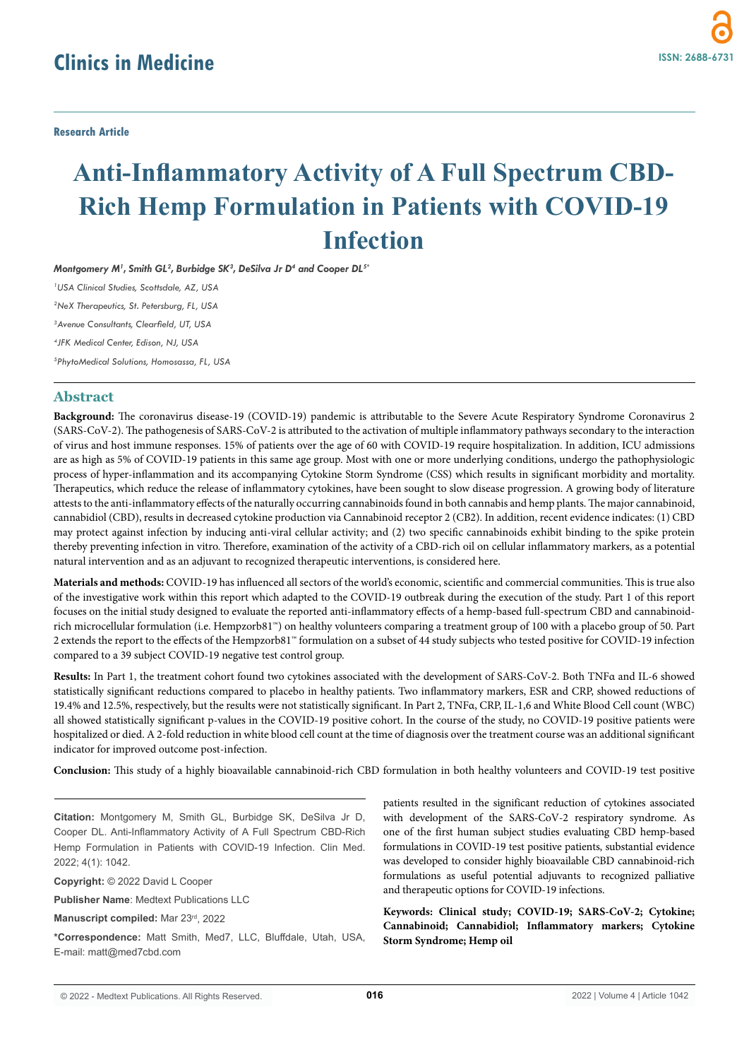**Research Article**

# **Anti-Inflammatory Activity of A Full Spectrum CBD-Rich Hemp Formulation in Patients with COVID-19 Infection**

*Montgomery M1 , Smith GL2 , Burbidge SK3 , DeSilva Jr D4 and Cooper DL5\* USA Clinical Studies, Scottsdale, AZ, USA NeX Therapeutics, St. Petersburg, FL, USA Avenue Consultants, Clearfield, UT, USA JFK Medical Center, Edison, NJ, USA PhytoMedical Solutions, Homosassa, FL, USA*

# **Abstract**

**Background:** The coronavirus disease-19 (COVID-19) pandemic is attributable to the Severe Acute Respiratory Syndrome Coronavirus 2 (SARS-CoV-2). The pathogenesis of SARS-CoV-2 is attributed to the activation of multiple inflammatory pathways secondary to the interaction of virus and host immune responses. 15% of patients over the age of 60 with COVID-19 require hospitalization. In addition, ICU admissions are as high as 5% of COVID-19 patients in this same age group. Most with one or more underlying conditions, undergo the pathophysiologic process of hyper-inflammation and its accompanying Cytokine Storm Syndrome (CSS) which results in significant morbidity and mortality. Therapeutics, which reduce the release of inflammatory cytokines, have been sought to slow disease progression. A growing body of literature attests to the anti-inflammatory effects of the naturally occurring cannabinoids found in both cannabis and hemp plants. The major cannabinoid, cannabidiol (CBD), results in decreased cytokine production via Cannabinoid receptor 2 (CB2). In addition, recent evidence indicates: (1) CBD may protect against infection by inducing anti-viral cellular activity; and (2) two specific cannabinoids exhibit binding to the spike protein thereby preventing infection in vitro. Therefore, examination of the activity of a CBD-rich oil on cellular inflammatory markers, as a potential natural intervention and as an adjuvant to recognized therapeutic interventions, is considered here.

**Materials and methods:** COVID-19 has influenced all sectors of the world's economic, scientific and commercial communities. This is true also of the investigative work within this report which adapted to the COVID-19 outbreak during the execution of the study. Part 1 of this report focuses on the initial study designed to evaluate the reported anti-inflammatory effects of a hemp-based full-spectrum CBD and cannabinoidrich microcellular formulation (i.e. Hempzorb81™) on healthy volunteers comparing a treatment group of 100 with a placebo group of 50. Part 2 extends the report to the effects of the Hempzorb81™ formulation on a subset of 44 study subjects who tested positive for COVID-19 infection compared to a 39 subject COVID-19 negative test control group.

**Results:** In Part 1, the treatment cohort found two cytokines associated with the development of SARS-CoV-2. Both TNFα and IL-6 showed statistically significant reductions compared to placebo in healthy patients. Two inflammatory markers, ESR and CRP, showed reductions of 19.4% and 12.5%, respectively, but the results were not statistically significant. In Part 2, TNFα, CRP, IL-1,6 and White Blood Cell count (WBC) all showed statistically significant p-values in the COVID-19 positive cohort. In the course of the study, no COVID-19 positive patients were hospitalized or died. A 2-fold reduction in white blood cell count at the time of diagnosis over the treatment course was an additional significant indicator for improved outcome post-infection.

**Conclusion:** This study of a highly bioavailable cannabinoid-rich CBD formulation in both healthy volunteers and COVID-19 test positive

**Citation:** Montgomery M, Smith GL, Burbidge SK, DeSilva Jr D, Cooper DL. Anti-Inflammatory Activity of A Full Spectrum CBD-Rich Hemp Formulation in Patients with COVID-19 Infection. Clin Med. 2022; 4(1): 1042.

**Copyright:** © 2022 David L Cooper

**Publisher Name**: Medtext Publications LLC

**Manuscript compiled:** Mar 23rd, 2022

**\*Correspondence:** Matt Smith, Med7, LLC, Bluffdale, Utah, USA, E-mail: matt@med7cbd.com

patients resulted in the significant reduction of cytokines associated with development of the SARS-CoV-2 respiratory syndrome. As one of the first human subject studies evaluating CBD hemp-based formulations in COVID-19 test positive patients, substantial evidence was developed to consider highly bioavailable CBD cannabinoid-rich formulations as useful potential adjuvants to recognized palliative and therapeutic options for COVID-19 infections.

**Keywords: Clinical study; COVID-19; SARS-CoV-2; Cytokine; Cannabinoid; Cannabidiol; Inflammatory markers; Cytokine Storm Syndrome; Hemp oil**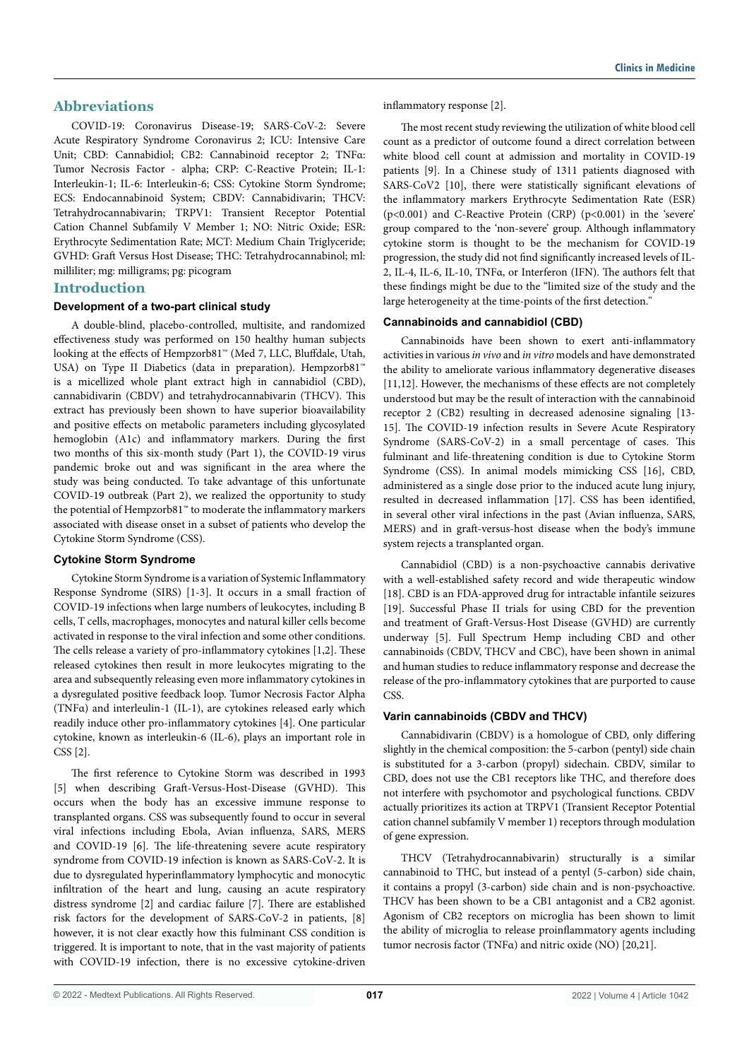# **Abbreviations**

COVID-19: Coronavirus Disease-19; SARS-CoV-2: Severe Acute Respiratory Syndrome Coronavirus 2; ICU: Intensive Care Unit; CBD: Cannabidiol; CB2: Cannabinoid receptor 2; TNFα: Tumor Necrosis Factor - alpha; CRP: C-Reactive Protein; IL-1: Interleukin-1; IL-6: Interleukin-6; CSS: Cytokine Storm Syndrome; ECS: Endocannabinoid System; CBDV: Cannabidivarin; THCV: Tetrahydrocannabivarin; TRPV1: Transient Receptor Potential Cation Channel Subfamily V Member 1; NO: Nitric Oxide; ESR: Erythrocyte Sedimentation Rate; MCT: Medium Chain Triglyceride; GVHD: Graft Versus Host Disease; THC: Tetrahydrocannabinol; ml: milliliter; mg: milligrams; pg: picogram

# **Introduction**

#### **Development of a two-part clinical study**

A double-blind, placebo-controlled, multisite, and randomized effectiveness study was performed on 150 healthy human subjects looking at the effects of Hempzorb81™ (Med 7, LLC, Bluffdale, Utah, USA) on Type II Diabetics (data in preparation). Hempzorb81™ is a micellized whole plant extract high in cannabidiol (CBD), cannabidivarin (CBDV) and tetrahydrocannabivarin (THCV). This extract has previously been shown to have superior bioavailability and positive effects on metabolic parameters including glycosylated hemoglobin (A1c) and inflammatory markers. During the first two months of this six-month study (Part 1), the COVID-19 virus pandemic broke out and was significant in the area where the study was being conducted. To take advantage of this unfortunate COVID-19 outbreak (Part 2), we realized the opportunity to study the potential of Hempzorb81™ to moderate the inflammatory markers associated with disease onset in a subset of patients who develop the Cytokine Storm Syndrome (CSS).

## **Cytokine Storm Syndrome**

Cytokine Storm Syndrome is a variation of Systemic Inflammatory Response Syndrome (SIRS) [1-3]. It occurs in a small fraction of COVID-19 infections when large numbers of leukocytes, including B cells, T cells, macrophages, monocytes and natural killer cells become activated in response to the viral infection and some other conditions. The cells release a variety of pro-inflammatory cytokines [1,2]. These released cytokines then result in more leukocytes migrating to the area and subsequently releasing even more inflammatory cytokines in a dysregulated positive feedback loop. Tumor Necrosis Factor Alpha (TNFα) and interleulin-1 (IL-1), are cytokines released early which readily induce other pro-inflammatory cytokines [4]. One particular cytokine, known as interleukin-6 (IL-6), plays an important role in CSS [2].

The first reference to Cytokine Storm was described in 1993 [5] when describing Graft-Versus-Host-Disease (GVHD). This occurs when the body has an excessive immune response to transplanted organs. CSS was subsequently found to occur in several viral infections including Ebola, Avian influenza, SARS, MERS and COVID-19 [6]. The life-threatening severe acute respiratory syndrome from COVID-19 infection is known as SARS-CoV-2. It is due to dysregulated hyperinflammatory lymphocytic and monocytic infiltration of the heart and lung, causing an acute respiratory distress syndrome [2] and cardiac failure [7]. There are established risk factors for the development of SARS-CoV-2 in patients, [8] however, it is not clear exactly how this fulminant CSS condition is triggered. It is important to note, that in the vast majority of patients with COVID-19 infection, there is no excessive cytokine-driven inflammatory response [2].

The most recent study reviewing the utilization of white blood cell count as a predictor of outcome found a direct correlation between white blood cell count at admission and mortality in COVID-19 patients [9]. In a Chinese study of 1311 patients diagnosed with SARS-CoV2 [10], there were statistically significant elevations of the inflammatory markers Erythrocyte Sedimentation Rate (ESR) (p<0.001) and C-Reactive Protein (CRP) (p<0.001) in the 'severe' group compared to the 'non-severe' group. Although inflammatory cytokine storm is thought to be the mechanism for COVID-19 progression, the study did not find significantly increased levels of IL-2, IL-4, IL-6, IL-10, TNFα, or Interferon (IFN). The authors felt that these findings might be due to the "limited size of the study and the large heterogeneity at the time-points of the first detection."

# **Cannabinoids and cannabidiol (CBD)**

Cannabinoids have been shown to exert anti-inflammatory activities in various *in vivo* and *in vitro* models and have demonstrated the ability to ameliorate various inflammatory degenerative diseases [11,12]. However, the mechanisms of these effects are not completely understood but may be the result of interaction with the cannabinoid receptor 2 (CB2) resulting in decreased adenosine signaling [13- 15]. The COVID-19 infection results in Severe Acute Respiratory Syndrome (SARS-CoV-2) in a small percentage of cases. This fulminant and life-threatening condition is due to Cytokine Storm Syndrome (CSS). In animal models mimicking CSS [16], CBD, administered as a single dose prior to the induced acute lung injury, resulted in decreased inflammation [17]. CSS has been identified, in several other viral infections in the past (Avian influenza, SARS, MERS) and in graft-versus-host disease when the body's immune system rejects a transplanted organ.

Cannabidiol (CBD) is a non-psychoactive cannabis derivative with a well-established safety record and wide therapeutic window [18]. CBD is an FDA-approved drug for intractable infantile seizures [19]. Successful Phase II trials for using CBD for the prevention and treatment of Graft-Versus-Host Disease (GVHD) are currently underway [5]. Full Spectrum Hemp including CBD and other cannabinoids (CBDV, THCV and CBC), have been shown in animal and human studies to reduce inflammatory response and decrease the release of the pro-inflammatory cytokines that are purported to cause CSS.

## **Varin cannabinoids (CBDV and THCV)**

Cannabidivarin (CBDV) is a homologue of CBD, only differing slightly in the chemical composition: the 5-carbon (pentyl) side chain is substituted for a 3-carbon (propyl) sidechain. CBDV, similar to CBD, does not use the CB1 receptors like THC, and therefore does not interfere with psychomotor and psychological functions. CBDV actually prioritizes its action at TRPV1 (Transient Receptor Potential cation channel subfamily V member 1) receptors through modulation of gene expression.

THCV (Tetrahydrocannabivarin) structurally is a similar cannabinoid to THC, but instead of a pentyl (5-carbon) side chain, it contains a propyl (3-carbon) side chain and is non-psychoactive. THCV has been shown to be a CB1 antagonist and a CB2 agonist. Agonism of CB2 receptors on microglia has been shown to limit the ability of microglia to release proinflammatory agents including tumor necrosis factor (TNFα) and nitric oxide (NO) [20,21].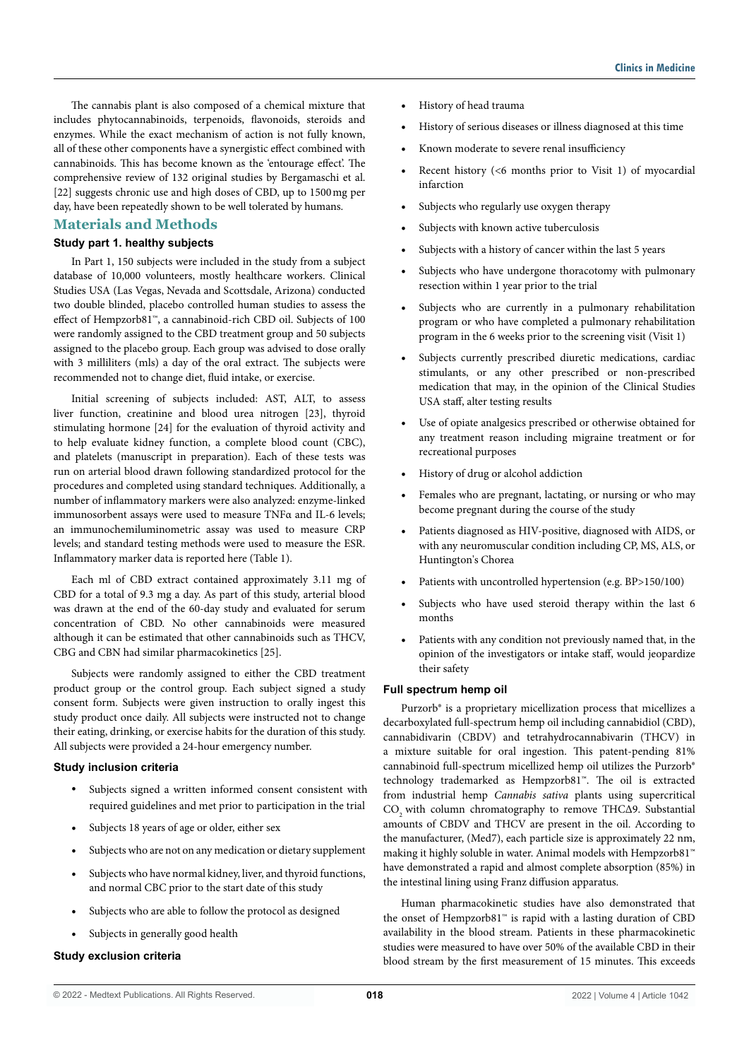The cannabis plant is also composed of a chemical mixture that includes phytocannabinoids, terpenoids, flavonoids, steroids and enzymes. While the exact mechanism of action is not fully known, all of these other components have a synergistic effect combined with cannabinoids. This has become known as the 'entourage effect'. The comprehensive review of 132 original studies by Bergamaschi et al. [22] suggests chronic use and high doses of CBD, up to 1500mg per day, have been repeatedly shown to be well tolerated by humans.

# **Materials and Methods**

## **Study part 1. healthy subjects**

In Part 1, 150 subjects were included in the study from a subject database of 10,000 volunteers, mostly healthcare workers. Clinical Studies USA (Las Vegas, Nevada and Scottsdale, Arizona) conducted two double blinded, placebo controlled human studies to assess the effect of Hempzorb81™, a cannabinoid-rich CBD oil. Subjects of 100 were randomly assigned to the CBD treatment group and 50 subjects assigned to the placebo group. Each group was advised to dose orally with 3 milliliters (mls) a day of the oral extract. The subjects were recommended not to change diet, fluid intake, or exercise.

Initial screening of subjects included: AST, ALT, to assess liver function, creatinine and blood urea nitrogen [23], thyroid stimulating hormone [24] for the evaluation of thyroid activity and to help evaluate kidney function, a complete blood count (CBC), and platelets (manuscript in preparation). Each of these tests was run on arterial blood drawn following standardized protocol for the procedures and completed using standard techniques. Additionally, a number of inflammatory markers were also analyzed: enzyme-linked immunosorbent assays were used to measure TNFα and IL-6 levels; an immunochemiluminometric assay was used to measure CRP levels; and standard testing methods were used to measure the ESR. Inflammatory marker data is reported here (Table 1).

Each ml of CBD extract contained approximately 3.11 mg of CBD for a total of 9.3 mg a day. As part of this study, arterial blood was drawn at the end of the 60-day study and evaluated for serum concentration of CBD. No other cannabinoids were measured although it can be estimated that other cannabinoids such as THCV, CBG and CBN had similar pharmacokinetics [25].

Subjects were randomly assigned to either the CBD treatment product group or the control group. Each subject signed a study consent form. Subjects were given instruction to orally ingest this study product once daily. All subjects were instructed not to change their eating, drinking, or exercise habits for the duration of this study. All subjects were provided a 24-hour emergency number.

#### **Study inclusion criteria**

- Subjects signed a written informed consent consistent with required guidelines and met prior to participation in the trial
- Subjects 18 years of age or older, either sex
- Subjects who are not on any medication or dietary supplement
- Subjects who have normal kidney, liver, and thyroid functions, and normal CBC prior to the start date of this study
- Subjects who are able to follow the protocol as designed
- Subjects in generally good health

## **Study exclusion criteria**

- History of head trauma
- History of serious diseases or illness diagnosed at this time
- Known moderate to severe renal insufficiency
- Recent history  $( $6$  months prior to Visit 1) of myocardial$ infarction
- Subjects who regularly use oxygen therapy
- Subjects with known active tuberculosis
- Subjects with a history of cancer within the last 5 years
- Subjects who have undergone thoracotomy with pulmonary resection within 1 year prior to the trial
- Subjects who are currently in a pulmonary rehabilitation program or who have completed a pulmonary rehabilitation program in the 6 weeks prior to the screening visit (Visit 1)
- Subjects currently prescribed diuretic medications, cardiac stimulants, or any other prescribed or non-prescribed medication that may, in the opinion of the Clinical Studies USA staff, alter testing results
- Use of opiate analgesics prescribed or otherwise obtained for any treatment reason including migraine treatment or for recreational purposes
- History of drug or alcohol addiction
- Females who are pregnant, lactating, or nursing or who may become pregnant during the course of the study
- Patients diagnosed as HIV-positive, diagnosed with AIDS, or with any neuromuscular condition including CP, MS, ALS, or Huntington's Chorea
- Patients with uncontrolled hypertension (e.g. BP>150/100)
- Subjects who have used steroid therapy within the last 6 months
- Patients with any condition not previously named that, in the opinion of the investigators or intake staff, would jeopardize their safety

### **Full spectrum hemp oil**

Purzorb® is a proprietary micellization process that micellizes a decarboxylated full-spectrum hemp oil including cannabidiol (CBD), cannabidivarin (CBDV) and tetrahydrocannabivarin (THCV) in a mixture suitable for oral ingestion. This patent-pending 81% cannabinoid full-spectrum micellized hemp oil utilizes the Purzorb® technology trademarked as Hempzorb81™. The oil is extracted from industrial hemp *Cannabis sativa* plants using supercritical CO<sub>2</sub> with column chromatography to remove THCΔ9. Substantial amounts of CBDV and THCV are present in the oil. According to the manufacturer, (Med7), each particle size is approximately 22 nm, making it highly soluble in water. Animal models with Hempzorb81™ have demonstrated a rapid and almost complete absorption (85%) in the intestinal lining using Franz diffusion apparatus.

Human pharmacokinetic studies have also demonstrated that the onset of Hempzorb81™ is rapid with a lasting duration of CBD availability in the blood stream. Patients in these pharmacokinetic studies were measured to have over 50% of the available CBD in their blood stream by the first measurement of 15 minutes. This exceeds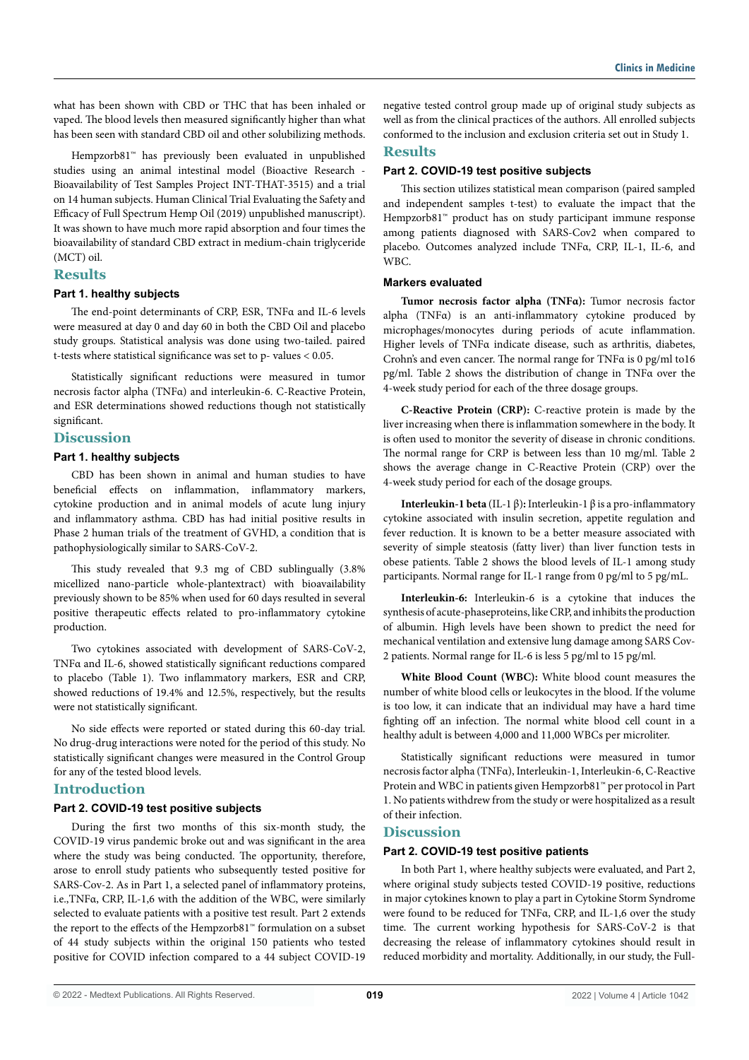what has been shown with CBD or THC that has been inhaled or vaped. The blood levels then measured significantly higher than what has been seen with standard CBD oil and other solubilizing methods.

Hempzorb81™ has previously been evaluated in unpublished studies using an animal intestinal model (Bioactive Research - Bioavailability of Test Samples Project INT-THAT-3515) and a trial on 14 human subjects. Human Clinical Trial Evaluating the Safety and Efficacy of Full Spectrum Hemp Oil (2019) unpublished manuscript). It was shown to have much more rapid absorption and four times the bioavailability of standard CBD extract in medium-chain triglyceride (MCT) oil.

## **Results**

#### **Part 1. healthy subjects**

The end-point determinants of CRP, ESR, TNFα and IL-6 levels were measured at day 0 and day 60 in both the CBD Oil and placebo study groups. Statistical analysis was done using two-tailed. paired t-tests where statistical significance was set to p- values < 0.05.

Statistically significant reductions were measured in tumor necrosis factor alpha (TNFα) and interleukin-6. C-Reactive Protein, and ESR determinations showed reductions though not statistically significant.

# **Discussion**

## **Part 1. healthy subjects**

CBD has been shown in animal and human studies to have beneficial effects on inflammation, inflammatory markers, cytokine production and in animal models of acute lung injury and inflammatory asthma. CBD has had initial positive results in Phase 2 human trials of the treatment of GVHD, a condition that is pathophysiologically similar to SARS-CoV-2.

This study revealed that 9.3 mg of CBD sublingually (3.8% micellized nano-particle whole-plantextract) with bioavailability previously shown to be 85% when used for 60 days resulted in several positive therapeutic effects related to pro-inflammatory cytokine production.

Two cytokines associated with development of SARS-CoV-2, TNFα and IL-6, showed statistically significant reductions compared to placebo (Table 1). Two inflammatory markers, ESR and CRP, showed reductions of 19.4% and 12.5%, respectively, but the results were not statistically significant.

No side effects were reported or stated during this 60-day trial. No drug-drug interactions were noted for the period of this study. No statistically significant changes were measured in the Control Group for any of the tested blood levels.

# **Introduction**

## **Part 2. COVID-19 test positive subjects**

During the first two months of this six-month study, the COVID-19 virus pandemic broke out and was significant in the area where the study was being conducted. The opportunity, therefore, arose to enroll study patients who subsequently tested positive for SARS-Cov-2. As in Part 1, a selected panel of inflammatory proteins, i.e.,TNFα, CRP, IL-1,6 with the addition of the WBC, were similarly selected to evaluate patients with a positive test result. Part 2 extends the report to the effects of the Hempzorb81™ formulation on a subset of 44 study subjects within the original 150 patients who tested positive for COVID infection compared to a 44 subject COVID-19 negative tested control group made up of original study subjects as well as from the clinical practices of the authors. All enrolled subjects conformed to the inclusion and exclusion criteria set out in Study 1.

# **Results**

# **Part 2. COVID-19 test positive subjects**

This section utilizes statistical mean comparison (paired sampled and independent samples t-test) to evaluate the impact that the Hempzorb81™ product has on study participant immune response among patients diagnosed with SARS-Cov2 when compared to placebo. Outcomes analyzed include TNFα, CRP, IL-1, IL-6, and WBC.

#### **Markers evaluated**

**Tumor necrosis factor alpha (TNFα):** Tumor necrosis factor alpha (TNFα) is an anti-inflammatory cytokine produced by microphages/monocytes during periods of acute inflammation. Higher levels of TNFα indicate disease, such as arthritis, diabetes, Crohn's and even cancer. The normal range for TNFα is 0 pg/ml to16 pg/ml. Table 2 shows the distribution of change in TNFα over the 4-week study period for each of the three dosage groups.

**C-Reactive Protein (CRP):** C-reactive protein is made by the liver increasing when there is inflammation somewhere in the body. It is often used to monitor the severity of disease in chronic conditions. The normal range for CRP is between less than 10 mg/ml. Table 2 shows the average change in C-Reactive Protein (CRP) over the 4-week study period for each of the dosage groups.

**Interleukin-1 beta** (IL-1 β)**:** Interleukin-1 β is a pro-inflammatory cytokine associated with insulin secretion, appetite regulation and fever reduction. It is known to be a better measure associated with severity of simple steatosis (fatty liver) than liver function tests in obese patients. Table 2 shows the blood levels of IL-1 among study participants. Normal range for IL-1 range from 0 pg/ml to 5 pg/mL.

**Interleukin-6:** Interleukin-6 is a cytokine that induces the synthesis of acute-phaseproteins, like CRP, and inhibits the production of albumin. High levels have been shown to predict the need for mechanical ventilation and extensive lung damage among SARS Cov-2 patients. Normal range for IL-6 is less 5 pg/ml to 15 pg/ml.

**White Blood Count (WBC):** White blood count measures the number of white blood cells or leukocytes in the blood. If the volume is too low, it can indicate that an individual may have a hard time fighting off an infection. The normal white blood cell count in a healthy adult is between 4,000 and 11,000 WBCs per microliter.

Statistically significant reductions were measured in tumor necrosis factor alpha (TNFα), Interleukin-1, Interleukin-6, C-Reactive Protein and WBC in patients given Hempzorb81™ per protocol in Part 1. No patients withdrew from the study or were hospitalized as a result of their infection.

# **Discussion**

#### **Part 2. COVID-19 test positive patients**

In both Part 1, where healthy subjects were evaluated, and Part 2, where original study subjects tested COVID-19 positive, reductions in major cytokines known to play a part in Cytokine Storm Syndrome were found to be reduced for TNFα, CRP, and IL-1,6 over the study time. The current working hypothesis for SARS-CoV-2 is that decreasing the release of inflammatory cytokines should result in reduced morbidity and mortality. Additionally, in our study, the Full-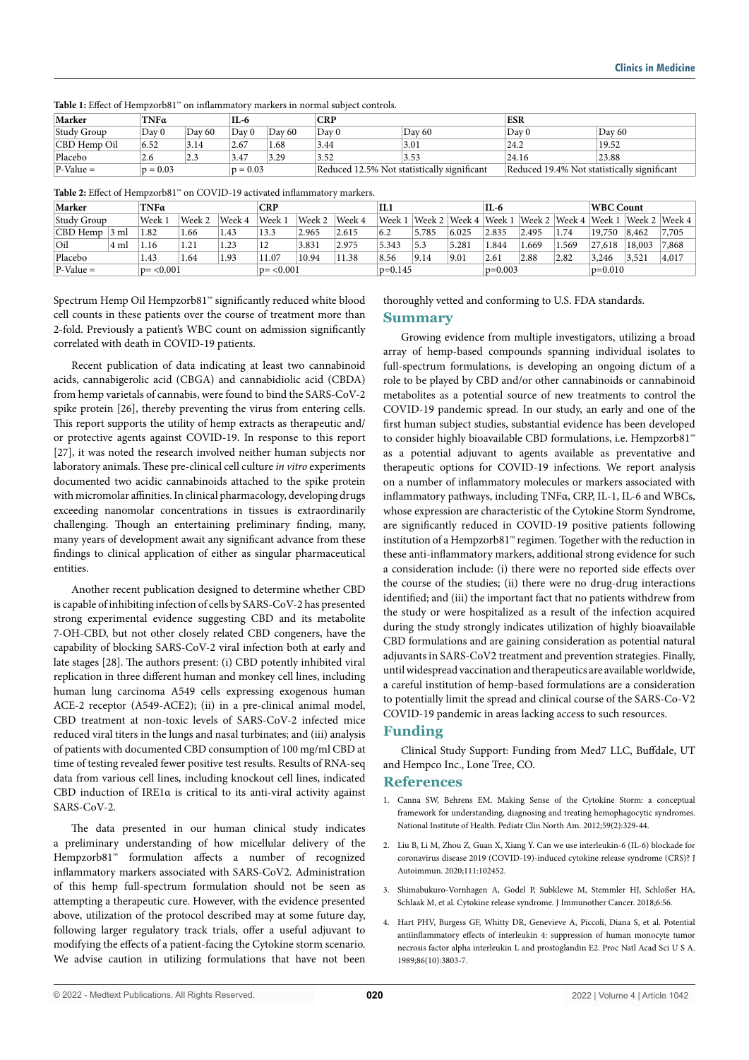| Marker       | TNFa       |        | IL-6  |            | CRP              |                                             | <b>ESR</b>                                  |        |  |  |
|--------------|------------|--------|-------|------------|------------------|---------------------------------------------|---------------------------------------------|--------|--|--|
| Study Group  | Day 0      | Day 60 | Day 0 | Dav 60     | Dav <sub>0</sub> | Day 60                                      | Day 0                                       | Day 60 |  |  |
| CBD Hemp Oil | 6.52       | 3.14   | 2.67  | 1.68       | 3.44             | 3.01                                        | 24.2                                        | 19.52  |  |  |
| Placebo      | 2.6        | 2.3    | 3.47  | 3.29       | 3.52             | 3.53                                        | 24.16                                       | 23.88  |  |  |
| $P-Value =$  | $p = 0.03$ |        |       | $p = 0.03$ |                  | Reduced 12.5% Not statistically significant | Reduced 19.4% Not statistically significant |        |  |  |

**Table 1:** Effect of Hempzorb81™ on inflammatory markers in normal subject controls.

**Table 2:** Effect of Hempzorb81™ on COVID-19 activated inflammatory markers.

| Marker<br>TNFa             |      |        | <b>CRP</b>  |        |        | Ш         |        |           | IL-6  |       |           | WBC Count                                  |       |        |        |                                            |
|----------------------------|------|--------|-------------|--------|--------|-----------|--------|-----------|-------|-------|-----------|--------------------------------------------|-------|--------|--------|--------------------------------------------|
| Study Group                |      | Week 1 | Week 2      | Week 4 | Week 1 | Week 2    | Week 4 | Week 1    |       |       |           | Week 2   Week 4   Week 1   Week 2   Week 4 |       | Week 1 |        | $\sqrt{$ Week 2 $\sqrt{$ Week 4 $\sqrt{ }$ |
| CBD Hemp                   | 3 ml | 1.82   | 1.66        | 1.43   | 13.3   | 2.965     | 2.615  | 6.2       | 5.785 | 6.025 | 2.835     | 2.495                                      | 1.74  | 19,750 | 8,462  | 7,705                                      |
| Oil                        | 4 ml | 1.16   | 1.21        | 1.23   | 12     | 3.831     | 2.975  | 5.343     | 5.3   | 5.281 | .844      | .669                                       | 1.569 | 27,618 | 18,003 | 7,868                                      |
| Placebo                    |      | 1.43   | 1.64        | 1.93   | 11.07  | 10.94     | 11.38  | 8.56      | 9.14  | 9.01  | 2.61      | 2.88                                       | 2.82  | 3,246  | 3,521  | 4,017                                      |
| $P-Value =$<br>$p = 0.001$ |      |        | $p = 0.001$ |        |        | $p=0.145$ |        | $p=0.003$ |       |       | $p=0.010$ |                                            |       |        |        |                                            |

Spectrum Hemp Oil Hempzorb81™ significantly reduced white blood cell counts in these patients over the course of treatment more than 2-fold. Previously a patient's WBC count on admission significantly correlated with death in COVID-19 patients.

Recent publication of data indicating at least two cannabinoid acids, cannabigerolic acid (CBGA) and cannabidiolic acid (CBDA) from hemp varietals of cannabis, were found to bind the SARS-CoV-2 spike protein [26], thereby preventing the virus from entering cells. This report supports the utility of hemp extracts as therapeutic and/ or protective agents against COVID-19. In response to this report [27], it was noted the research involved neither human subjects nor laboratory animals. These pre-clinical cell culture *in vitro* experiments documented two acidic cannabinoids attached to the spike protein with micromolar affinities. In clinical pharmacology, developing drugs exceeding nanomolar concentrations in tissues is extraordinarily challenging. Though an entertaining preliminary finding, many, many years of development await any significant advance from these findings to clinical application of either as singular pharmaceutical entities.

Another recent publication designed to determine whether CBD is capable of inhibiting infection of cells by SARS-CoV-2 has presented strong experimental evidence suggesting CBD and its metabolite 7-OH-CBD, but not other closely related CBD congeners, have the capability of blocking SARS-CoV-2 viral infection both at early and late stages [28]. The authors present: (i) CBD potently inhibited viral replication in three different human and monkey cell lines, including human lung carcinoma A549 cells expressing exogenous human ACE-2 receptor (A549-ACE2); (ii) in a pre-clinical animal model, CBD treatment at non-toxic levels of SARS-CoV-2 infected mice reduced viral titers in the lungs and nasal turbinates; and (iii) analysis of patients with documented CBD consumption of 100 mg/ml CBD at time of testing revealed fewer positive test results. Results of RNA-seq data from various cell lines, including knockout cell lines, indicated CBD induction of IRE1α is critical to its anti-viral activity against SARS-CoV-2.

The data presented in our human clinical study indicates a preliminary understanding of how micellular delivery of the Hempzorb81™ formulation affects a number of recognized inflammatory markers associated with SARS-CoV2. Administration of this hemp full-spectrum formulation should not be seen as attempting a therapeutic cure. However, with the evidence presented above, utilization of the protocol described may at some future day, following larger regulatory track trials, offer a useful adjuvant to modifying the effects of a patient-facing the Cytokine storm scenario. We advise caution in utilizing formulations that have not been thoroughly vetted and conforming to U.S. FDA standards.

#### **Summary**

Growing evidence from multiple investigators, utilizing a broad array of hemp-based compounds spanning individual isolates to full-spectrum formulations, is developing an ongoing dictum of a role to be played by CBD and/or other cannabinoids or cannabinoid metabolites as a potential source of new treatments to control the COVID-19 pandemic spread. In our study, an early and one of the first human subject studies, substantial evidence has been developed to consider highly bioavailable CBD formulations, i.e. Hempzorb81™ as a potential adjuvant to agents available as preventative and therapeutic options for COVID-19 infections. We report analysis on a number of inflammatory molecules or markers associated with inflammatory pathways, including TNFα, CRP, IL-1, IL-6 and WBCs, whose expression are characteristic of the Cytokine Storm Syndrome, are significantly reduced in COVID-19 positive patients following institution of a Hempzorb81™ regimen. Together with the reduction in these anti-inflammatory markers, additional strong evidence for such a consideration include: (i) there were no reported side effects over the course of the studies; (ii) there were no drug-drug interactions identified; and (iii) the important fact that no patients withdrew from the study or were hospitalized as a result of the infection acquired during the study strongly indicates utilization of highly bioavailable CBD formulations and are gaining consideration as potential natural adjuvants in SARS-CoV2 treatment and prevention strategies. Finally, until widespread vaccination and therapeutics are available worldwide, a careful institution of hemp-based formulations are a consideration to potentially limit the spread and clinical course of the SARS-Co-V2 COVID-19 pandemic in areas lacking access to such resources.

#### **Funding**

Clinical Study Support: Funding from Med7 LLC, Buffdale, UT and Hempco Inc., Lone Tree, CO.

#### **References**

- 1. Canna SW, Behrens EM. Making Sense of the Cytokine Storm: a conceptual framework for understanding, diagnosing and treating hemophagocytic syndromes. National Institute of Health. Pediatr Clin North Am. 2012;59(2):329-44.
- 2. Liu B, Li M, Zhou Z, Guan X, Xiang Y. Can we use interleukin-6 (IL-6) blockade for coronavirus disease 2019 (COVID-19)-induced cytokine release syndrome (CRS)? J Autoimmun. 2020;111:102452.
- 3. Shimabukuro-Vornhagen A, Godel P, Subklewe M, Stemmler HJ, Schloßer HA, Schlaak M, et al. Cytokine release syndrome. J Immunother Cancer. 2018;6:56.
- 4. Hart PHV, Burgess GF, Whitty DR, Genevieve A, Piccoli, Diana S, et al. Potential antiinflammatory effects of interleukin 4: suppression of human monocyte tumor necrosis factor alpha interleukin L and prostoglandin E2. Proc Natl Acad Sci U S A. 1989;86(10):3803-7.